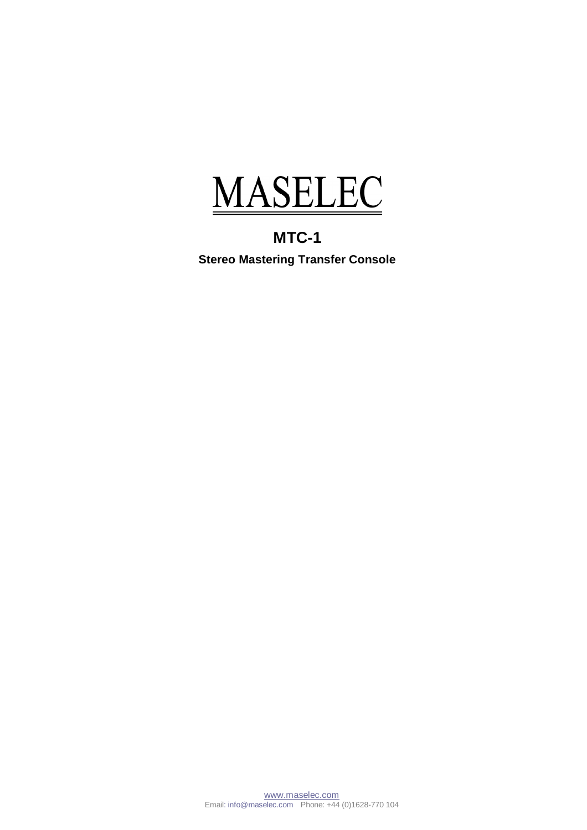

**MTC-1 Stereo Mastering Transfer Console**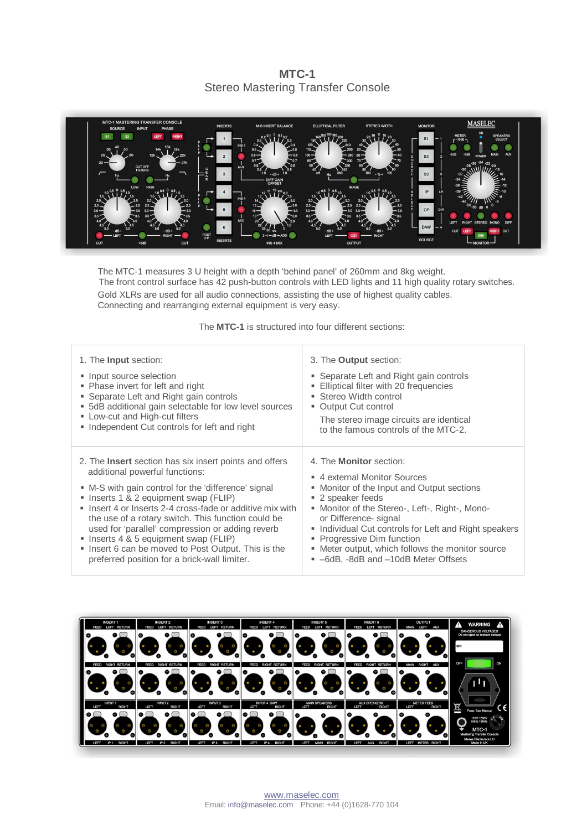**MTC-1**  Stereo Mastering Transfer Console



The MTC-1 measures 3 U height with a depth 'behind panel' of 260mm and 8kg weight. The front control surface has 42 push-button controls with LED lights and 11 high quality rotary switches. Gold XLRs are used for all audio connections, assisting the use of highest quality cables. Connecting and rearranging external equipment is very easy.

The **MTC-1** is structured into four different sections:

| 1. The <b>Input</b> section:                                  | 3. The <b>Output</b> section:                         |
|---------------------------------------------------------------|-------------------------------------------------------|
| • Input source selection                                      | • Separate Left and Right gain controls               |
| • Phase invert for left and right                             | Elliptical filter with 20 frequencies                 |
| • Separate Left and Right gain controls                       | ■ Stereo Width control                                |
| • 5dB additional gain selectable for low level sources        | • Output Cut control                                  |
| • Low-cut and High-cut filters                                | The stereo image circuits are identical               |
| • Independent Cut controls for left and right                 | to the famous controls of the MTC-2.                  |
| 2. The <b>Insert</b> section has six insert points and offers | 4. The <b>Monitor</b> section:                        |
| additional powerful functions:                                | 4 external Monitor Sources                            |
| • M-S with gain control for the 'difference' signal           | • Monitor of the Input and Output sections            |
| • Inserts 1 & 2 equipment swap (FLIP)                         | ■ 2 speaker feeds                                     |
| • Insert 4 or Inserts 2-4 cross-fade or additive mix with     | " Monitor of the Stereo-, Left-, Right-, Mono-        |
| the use of a rotary switch. This function could be            | or Difference- signal                                 |
| used for 'parallel' compression or adding reverb              | • Individual Cut controls for Left and Right speakers |
| • Inserts 4 & 5 equipment swap (FLIP)                         | • Progressive Dim function                            |
| . Insert 6 can be moved to Post Output. This is the           | • Meter output, which follows the monitor source      |
| preferred position for a brick-wall limiter.                  | ■ -6dB, -8dB and -10dB Meter Offsets                  |

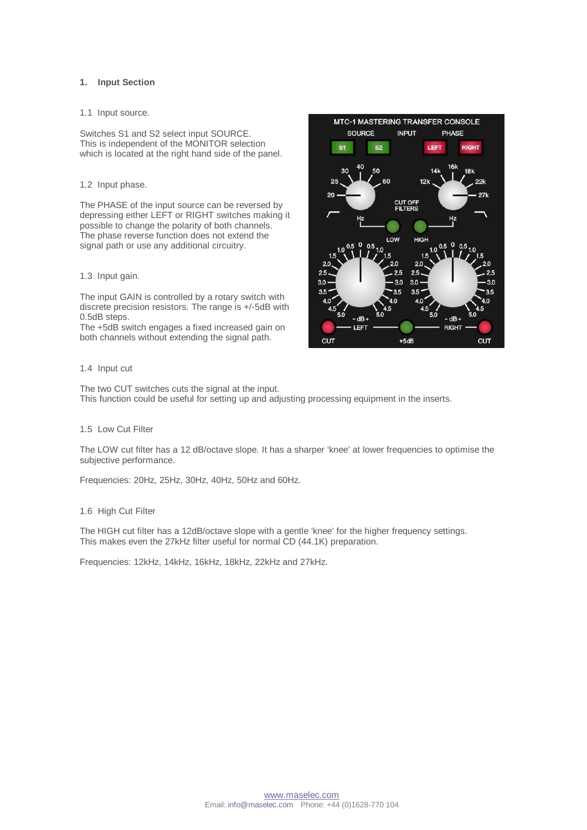#### **1. Input Section**

#### 1.1 Input source.

Switches S1 and S2 select input SOURCE. This is independent of the MONITOR selection which is located at the right hand side of the panel.

#### 1.2 Input phase.

The PHASE of the input source can be reversed by depressing either LEFT or RIGHT switches making it possible to change the polarity of both channels. The phase reverse function does not extend the signal path or use any additional circuitry.

## 1.3 Input gain.

The input GAIN is controlled by a rotary switch with discrete precision resistors. The range is +/-5dB with 0.5dB steps.

The +5dB switch engages a fixed increased gain on both channels without extending the signal path.

### 1.4 Input cut

The two CUT switches cuts the signal at the input. This function could be useful for setting up and adjusting processing equipment in the inserts.

#### 1.5 Low Cut Filter

The LOW cut filter has a 12 dB/octave slope. It has a sharper 'knee' at lower frequencies to optimise the subjective performance.

Frequencies: 20Hz, 25Hz, 30Hz, 40Hz, 50Hz and 60Hz.

#### 1.6 High Cut Filter

The HIGH cut filter has a 12dB/octave slope with a gentle 'knee' for the higher frequency settings. This makes even the 27kHz filter useful for normal CD (44.1K) preparation.

Frequencies: 12kHz, 14kHz, 16kHz, 18kHz, 22kHz and 27kHz.

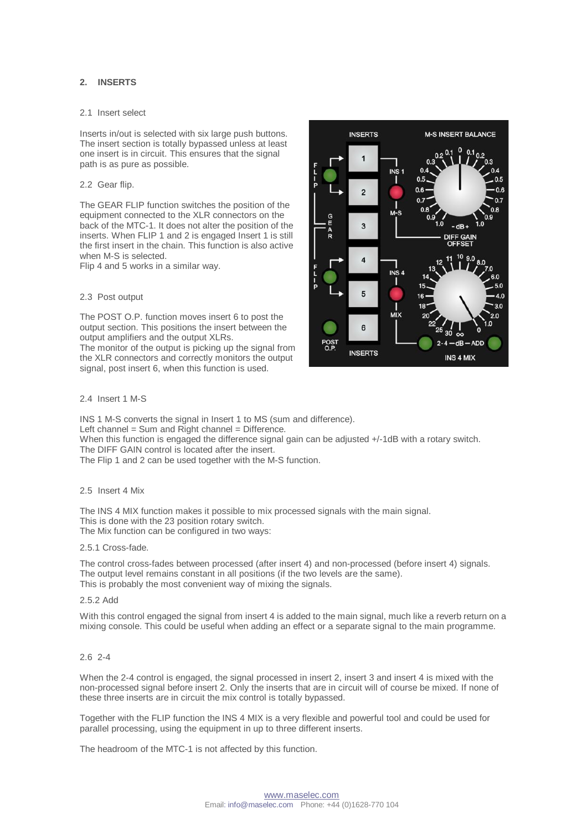# **2. INSERTS**

#### 2.1 Insert select

Inserts in/out is selected with six large push buttons. The insert section is totally bypassed unless at least one insert is in circuit. This ensures that the signal path is as pure as possible.

#### 2.2 Gear flip.

The GEAR FLIP function switches the position of the equipment connected to the XLR connectors on the back of the MTC-1. It does not alter the position of the inserts. When FLIP 1 and 2 is engaged Insert 1 is still the first insert in the chain. This function is also active when M-S is selected.

Flip 4 and 5 works in a similar way.

### 2.3 Post output

The POST O.P. function moves insert 6 to post the output section. This positions the insert between the output amplifiers and the output XLRs. The monitor of the output is picking up the signal from

the XLR connectors and correctly monitors the output signal, post insert 6, when this function is used.

#### 2.4 Insert 1 M-S

INS 1 M-S converts the signal in Insert 1 to MS (sum and difference). Left channel = Sum and  $R$ ight channel = Difference. When this function is engaged the difference signal gain can be adjusted  $+/-1$ dB with a rotary switch. The DIFF GAIN control is located after the insert.

The Flip 1 and 2 can be used together with the M-S function.

## 2.5 Insert 4 Mix

The INS 4 MIX function makes it possible to mix processed signals with the main signal. This is done with the 23 position rotary switch. The Mix function can be configured in two ways:

#### 2.5.1 Cross-fade.

The control cross-fades between processed (after insert 4) and non-processed (before insert 4) signals. The output level remains constant in all positions (if the two levels are the same). This is probably the most convenient way of mixing the signals.

#### 2.5.2 Add

With this control engaged the signal from insert 4 is added to the main signal, much like a reverb return on a mixing console. This could be useful when adding an effect or a separate signal to the main programme.

## 2.6 2-4

When the 2-4 control is engaged, the signal processed in insert 2, insert 3 and insert 4 is mixed with the non-processed signal before insert 2. Only the inserts that are in circuit will of course be mixed. If none of these three inserts are in circuit the mix control is totally bypassed.

Together with the FLIP function the INS 4 MIX is a very flexible and powerful tool and could be used for parallel processing, using the equipment in up to three different inserts.

The headroom of the MTC-1 is not affected by this function.

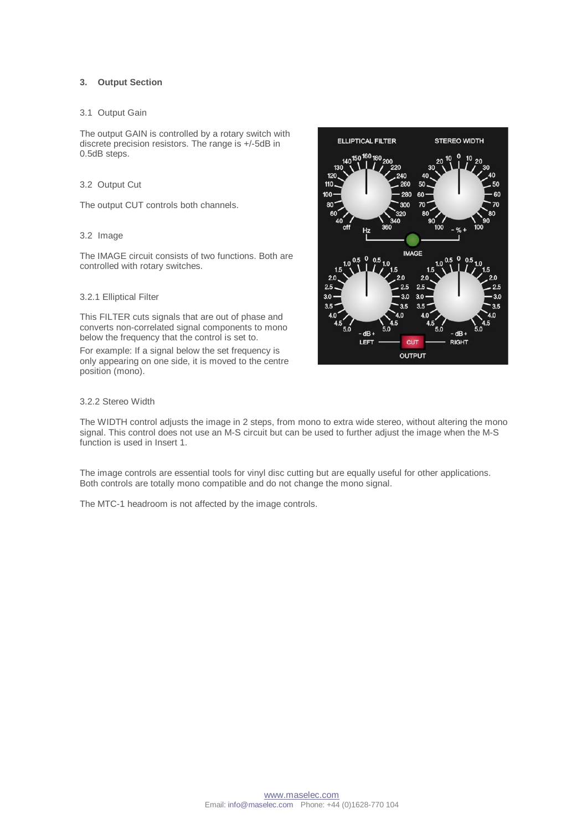## **3. Output Section**

### 3.1 Output Gain

The output GAIN is controlled by a rotary switch with discrete precision resistors. The range is +/-5dB in 0.5dB steps.

### 3.2 Output Cut

The output CUT controls both channels.

## 3.2 Image

The IMAGE circuit consists of two functions. Both are controlled with rotary switches.

### 3.2.1 Elliptical Filter

This FILTER cuts signals that are out of phase and converts non-correlated signal components to mono below the frequency that the control is set to.

For example: If a signal below the set frequency is only appearing on one side, it is moved to the centre position (mono).



## 3.2.2 Stereo Width

The WIDTH control adjusts the image in 2 steps, from mono to extra wide stereo, without altering the mono signal. This control does not use an M-S circuit but can be used to further adjust the image when the M-S function is used in Insert 1.

The image controls are essential tools for vinyl disc cutting but are equally useful for other applications. Both controls are totally mono compatible and do not change the mono signal.

The MTC-1 headroom is not affected by the image controls.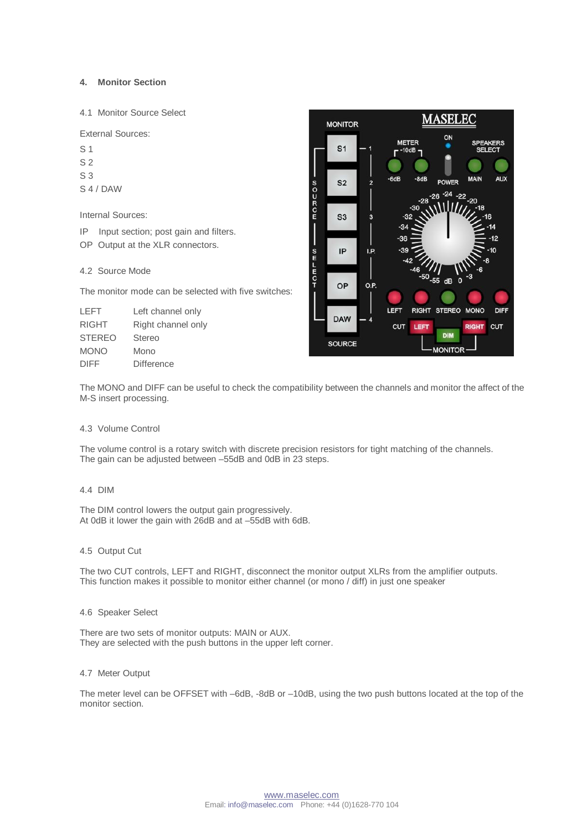## **4. Monitor Section**

4.1 Monitor Source Select

External Sources:

- $S<sub>1</sub>$
- S 2
- S 3
- S 4 / DAW

Internal Sources:

IP Input section; post gain and filters.

OP Output at the XLR connectors.

# 4.2 Source Mode

The monitor mode can be selected with five switches:

| LEFT          | Left channel only  |
|---------------|--------------------|
| <b>RIGHT</b>  | Right channel only |
| <b>STEREO</b> | <b>Stereo</b>      |
| <b>MONO</b>   | Mono               |
| <b>DIFF</b>   | <b>Difference</b>  |



The MONO and DIFF can be useful to check the compatibility between the channels and monitor the affect of the M-S insert processing.

## 4.3 Volume Control

The volume control is a rotary switch with discrete precision resistors for tight matching of the channels. The gain can be adjusted between -55dB and 0dB in 23 steps.

#### 4.4 DIM

The DIM control lowers the output gain progressively. At 0dB it lower the gain with 26dB and at –55dB with 6dB.

## 4.5 Output Cut

The two CUT controls, LEFT and RIGHT, disconnect the monitor output XLRs from the amplifier outputs. This function makes it possible to monitor either channel (or mono / diff) in just one speaker

#### 4.6 Speaker Select

There are two sets of monitor outputs: MAIN or AUX. They are selected with the push buttons in the upper left corner.

#### 4.7 Meter Output

The meter level can be OFFSET with –6dB, -8dB or –10dB, using the two push buttons located at the top of the monitor section.